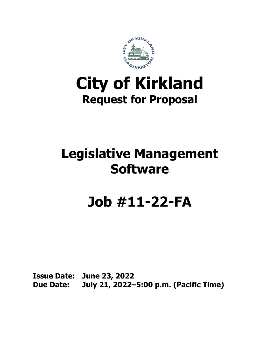

## **City of Kirkland Request for Proposal**

## **Legislative Management Software**

# **Job #11-22-FA**

**Issue Date: June 23, 2022 Due Date: July 21, 2022–5:00 p.m. (Pacific Time)**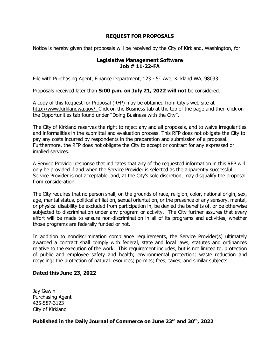## **REQUEST FOR PROPOSALS**

Notice is hereby given that proposals will be received by the City of Kirkland, Washington, for:

#### **Legislative Management Software Job # 11-22-FA**

File with Purchasing Agent, Finance Department, 123 - 5<sup>th</sup> Ave, Kirkland WA, 98033

Proposals received later than **5:00 p.m. on July 21, 2022 will not** be considered.

A copy of this Request for Proposal (RFP) may be obtained from City's web site at [http://www.kirklandwa.gov/.](http://www.kirklandwa.gov/) Click on the Business tab at the top of the page and then click on the Opportunities tab found under "Doing Business with the City".

The City of Kirkland reserves the right to reject any and all proposals, and to waive irregularities and informalities in the submittal and evaluation process. This RFP does not obligate the City to pay any costs incurred by respondents in the preparation and submission of a proposal. Furthermore, the RFP does not obligate the City to accept or contract for any expressed or implied services.

A Service Provider response that indicates that any of the requested information in this RFP will only be provided if and when the Service Provider is selected as the apparently successful Service Provider is not acceptable, and, at the City's sole discretion, may disqualify the proposal from consideration.

The City requires that no person shall, on the grounds of race, religion, color, national origin, sex, age, marital status, political affiliation, sexual orientation, or the presence of any sensory, mental, or physical disability be excluded from participation in, be denied the benefits of, or be otherwise subjected to discrimination under any program or activity. The City further assures that every effort will be made to ensure non-discrimination in all of its programs and activities, whether those programs are federally funded or not.

In addition to nondiscrimination compliance requirements, the Service Provider(s) ultimately awarded a contract shall comply with federal, state and local laws, statutes and ordinances relative to the execution of the work. This requirement includes, but is not limited to, protection of public and employee safety and health; environmental protection; waste reduction and recycling; the protection of natural resources; permits; fees; taxes; and similar subjects.

#### **Dated this June 23, 2022**

Jay Gewin Purchasing Agent 425-587-3123 City of Kirkland

## **Published in the Daily Journal of Commerce on June 23rd and 30th, 2022**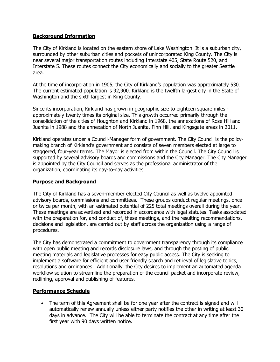## **Background Information**

The City of Kirkland is located on the eastern shore of Lake Washington. It is a suburban city, surrounded by other suburban cities and pockets of unincorporated King County. The City is near several major transportation routes including Interstate 405, State Route 520, and Interstate 5. These routes connect the City economically and socially to the greater Seattle area.

At the time of incorporation in 1905, the City of Kirkland's population was approximately 530. The current estimated population is 92,900. Kirkland is the twelfth largest city in the State of Washington and the sixth largest in King County.

Since its incorporation, Kirkland has grown in geographic size to eighteen square miles approximately twenty times its original size. This growth occurred primarily through the consolidation of the cities of Houghton and Kirkland in 1968, the annexations of Rose Hill and Juanita in 1988 and the annexation of North Juanita, Finn Hill, and Kingsgate areas in 2011.

Kirkland operates under a Council-Manager form of government. The City Council is the policymaking branch of Kirkland's government and consists of seven members elected at large to staggered, four-year terms. The Mayor is elected from within the Council. The City Council is supported by several advisory boards and commissions and the City Manager. The City Manager is appointed by the City Council and serves as the professional administrator of the organization, coordinating its day-to-day activities.

#### **Purpose and Background**

The City of Kirkland has a seven-member elected City Council as well as twelve appointed advisory boards, commissions and committees. These groups conduct regular meetings, once or twice per month, with an estimated potential of 225 total meetings overall during the year. These meetings are advertised and recorded in accordance with legal statutes. Tasks associated with the preparation for, and conduct of, these meetings, and the resulting recommendations, decisions and legislation, are carried out by staff across the organization using a range of procedures.

The City has demonstrated a commitment to government transparency through its compliance with open public meeting and records disclosure laws, and through the posting of public meeting materials and legislative processes for easy public access. The City is seeking to implement a software for efficient and user friendly search and retrieval of legislative topics, resolutions and ordinances. Additionally, the City desires to implement an automated agenda workflow solution to streamline the preparation of the council packet and incorporate review, redlining, approval and publishing of features.

## **Performance Schedule**

• The term of this Agreement shall be for one year after the contract is signed and will automatically renew annually unless either party notifies the other in writing at least 30 days in advance. The City will be able to terminate the contract at any time after the first year with 90 days written notice.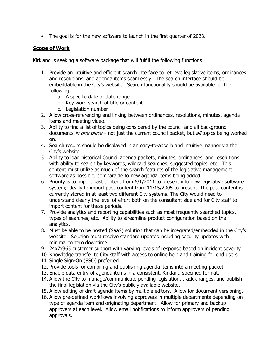• The goal is for the new software to launch in the first quarter of 2023.

## **Scope of Work**

Kirkland is seeking a software package that will fulfill the following functions:

- 1. Provide an intuitive and efficient search interface to retrieve legislative items, ordinances and resolutions, and agenda items seamlessly. The search interface should be embeddable in the City's website. Search functionality should be available for the following:
	- a. A specific date or date range
	- b. Key word search of title or content
	- c. Legislation number
- 2. Allow cross-referencing and linking between ordinances, resolutions, minutes, agenda items and meeting video.
- 3. Ability to find a list of topics being considered by the council and all background documents in one place – not just the current council packet, but all topics being worked on.
- 4. Search results should be displayed in an easy-to-absorb and intuitive manner via the City's website.
- 5. Ability to load historical Council agenda packets, minutes, ordinances, and resolutions with ability to search by keywords, wildcard searches, suggested topics, etc. This content must utilize as much of the search features of the legislative management software as possible, comparable to new agenda items being added.
- 6. Priority is to import past content from 6/1/2011 to present into new legislative software system; ideally to import past content from 11/15/2005 to present. The past content is currently stored in at least two different City systems. The City would need to understand clearly the level of effort both on the consultant side and for City staff to import content for these periods.
- 7. Provide analytics and reporting capabilities such as most frequently searched topics, types of searches, etc. Ability to streamline product configuration based on the analytics.
- 8. Must be able to be hosted (SaaS) solution that can be integrated/embedded in the City's website. Solution must receive standard updates including security updates with minimal to zero downtime.
- 9. 24x7x365 customer support with varying levels of response based on incident severity.
- 10. Knowledge transfer to City staff with access to online help and training for end users.
- 11. Single Sign-On (SSO) preferred.
- 12. Provide tools for compiling and publishing agenda items into a meeting packet.
- 13. Enable data entry of agenda items in a consistent, Kirkland-specified format.
- 14. Allow the City to manage/communicate pending legislation, track changes, and publish the final legislation via the City's publicly available website.
- 15. Allow editing of draft agenda items by multiple editors. Allow for document versioning.
- 16. Allow pre-defined workflows involving approvers in multiple departments depending on type of agenda item and originating department. Allow for primary and backup approvers at each level. Allow email notifications to inform approvers of pending approvals.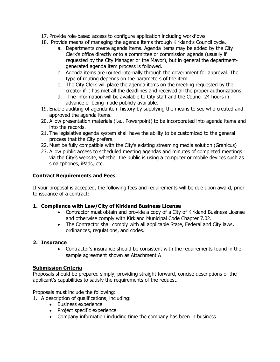- 17. Provide role-based access to configure application including workflows.
- 18. Provide means of managing the agenda items through Kirkland's Council cycle.
	- a. Departments create agenda items. Agenda items may be added by the City Clerk's office directly onto a committee or commission agenda (usually if requested by the City Manager or the Mayor), but in general the departmentgenerated agenda item process is followed.
	- b. Agenda items are routed internally through the government for approval. The type of routing depends on the parameters of the item.
	- c. The City Clerk will place the agenda items on the meeting requested by the creator if it has met all the deadlines and received all the proper authorizations.
	- d. The information will be available to City staff and the Council 24 hours in advance of being made publicly available.
- 19. Enable auditing of agenda item history by supplying the means to see who created and approved the agenda items.
- 20. Allow presentation materials (i.e., Powerpoint) to be incorporated into agenda items and into the records.
- 21. The legislative agenda system shall have the ability to be customized to the general process that the City prefers.
- 22. Must be fully compatible with the City's existing streaming media solution (Granicus)
- 23. Allow public access to scheduled meeting agendas and minutes of completed meetings via the City's website, whether the public is using a computer or mobile devices such as smartphones, iPads, etc.

## **Contract Requirements and Fees**

If your proposal is accepted, the following fees and requirements will be due upon award, prior to issuance of a contract:

## **1. Compliance with Law/City of Kirkland Business License**

- Contractor must obtain and provide a copy of a City of Kirkland Business License and otherwise comply with Kirkland Municipal Code Chapter 7.02.
- The Contractor shall comply with all applicable State, Federal and City laws, ordinances, regulations, and codes.

## **2. Insurance**

• Contractor's insurance should be consistent with the requirements found in the sample agreement shown as Attachment A

## **Submission Criteria**

Proposals should be prepared simply, providing straight forward, concise descriptions of the applicant's capabilities to satisfy the requirements of the request.

Proposals must include the following:

- 1. A description of qualifications, including:
	- Business experience
	- Project specific experience
	- Company information including time the company has been in business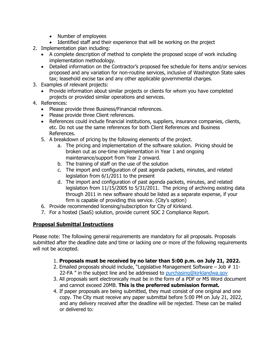- Number of employees
- Identified staff and their experience that will be working on the project
- 2. Implementation plan including:
	- A complete description of method to complete the proposed scope of work including implementation methodology.
	- Detailed information on the Contractor's proposed fee schedule for items and/or services proposed and any variation for non-routine services, inclusive of Washington State sales tax; leasehold excise tax and any other applicable governmental charges.
- 3. Examples of relevant projects:
	- Provide information about similar projects or clients for whom you have completed projects or provided similar operations and services.
- 4. References:
	- Please provide three Business/Financial references.
	- Please provide three Client references.
	- References could include financial institutions, suppliers, insurance companies, clients, etc. Do not use the same references for both Client References and Business References.
	- 5. A breakdown of pricing by the following elements of the project.
		- a. The pricing and implementation of the software solution. Pricing should be broken out as one-time implementation in Year 1 and ongoing maintenance/support from Year 2 onward.
		- b. The training of staff on the use of the solution
		- c. The import and configuration of past agenda packets, minutes, and related legislation from 6/1/2011 to the present
		- d. The import and configuration of past agenda packets, minutes, and related legislation from 11/15/2005 to 5/31/2011. The pricing of archiving existing data through 2011 in new software should be listed as a separate expense, if your firm is capable of providing this service. (City's option)
	- 6. Provide recommended licensing/subscription for City of Kirkland.
	- 7. For a hosted (SaaS) solution, provide current SOC 2 Compliance Report.

## **Proposal Submittal Instructions**

Please note: The following general requirements are mandatory for all proposals. Proposals submitted after the deadline date and time or lacking one or more of the following requirements will not be accepted.

- 1. **Proposals must be received by no later than 5:00 p.m. on July 21, 2022.**
- 2. Emailed proposals should include, "Legislative Management Software Job # 11 22-FA " in the subject line and be addressed to [purchasing@kirklandwa.gov](mailto:purchasing@kirklandwa.gov)
- 3. All proposals sent electronically must be in the form of a PDF or MS Word document and cannot exceed 20MB. **This is the preferred submission format.**
- 4. If paper proposals are being submitted, they must consist of one original and one copy. The City must receive any paper submittal before 5:00 PM on July 21, 2022, and any delivery received after the deadline will be rejected. These can be mailed or delivered to: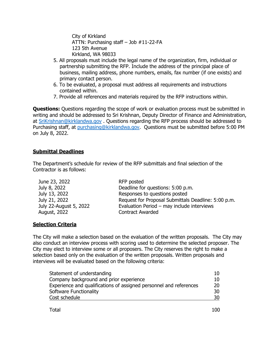City of Kirkland ATTN: Purchasing staff – Job #11-22-FA 123 5th Avenue Kirkland, WA 98033

- 5. All proposals must include the legal name of the organization, firm, individual or partnership submitting the RFP. Include the address of the principal place of business, mailing address, phone numbers, emails, fax number (if one exists) and primary contact person.
- 6. To be evaluated, a proposal must address all requirements and instructions contained within.
- 7. Provide all references and materials required by the RFP instructions within.

**Questions:** Questions regarding the scope of work or evaluation process must be submitted in writing and should be addressed to Sri Krishnan, Deputy Director of Finance and Administration, at [SriKrishnan@kirklandwa.gov](mailto:SriKrishnan@kirklandwa.gov) . Questions regarding the RFP process should be addressed to Purchasing staff, at [purchasing@kirklandwa.gov.](mailto:purchasing@kirklandwa.gov) Questions must be submitted before 5:00 PM on July 8, 2022.

### **Submittal Deadlines**

The Department's schedule for review of the RFP submittals and final selection of the Contractor is as follows:

| June 23, 2022          | RFP posted                                          |
|------------------------|-----------------------------------------------------|
| July 8, 2022           | Deadline for questions: 5:00 p.m.                   |
| July 13, 2022          | Responses to questions posted                       |
| July 21, 2022          | Request for Proposal Submittals Deadline: 5:00 p.m. |
| July 22-August 5, 2022 | Evaluation Period - may include interviews          |
| August, 2022           | <b>Contract Awarded</b>                             |

## **Selection Criteria**

The City will make a selection based on the evaluation of the written proposals. The City may also conduct an interview process with scoring used to determine the selected proposer. The City may elect to interview some or all proposers. The City reserves the right to make a selection based only on the evaluation of the written proposals. Written proposals and interviews will be evaluated based on the following criteria:

| Statement of understanding                                         | 10 |
|--------------------------------------------------------------------|----|
| Company background and prior experience                            | 10 |
| Experience and qualifications of assigned personnel and references | 20 |
| Software Functionality                                             | 30 |
| Cost schedule                                                      | 30 |
|                                                                    |    |

| <b>Total</b> | 100 |
|--------------|-----|
|--------------|-----|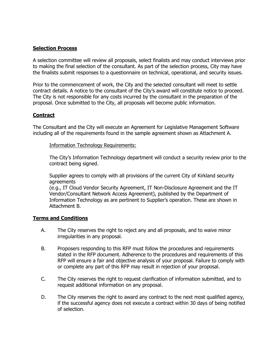#### **Selection Process**

A selection committee will review all proposals, select finalists and may conduct interviews prior to making the final selection of the consultant. As part of the selection process, City may have the finalists submit responses to a questionnaire on technical, operational, and security issues.

Prior to the commencement of work, the City and the selected consultant will meet to settle contract details. A notice to the consultant of the City's award will constitute notice to proceed. The City is not responsible for any costs incurred by the consultant in the preparation of the proposal. Once submitted to the City, all proposals will become public information.

### **Contract**

The Consultant and the City will execute an Agreement for Legislative Management Software including all of the requirements found in the sample agreement shown as Attachment A.

Information Technology Requirements:

The City's Information Technology department will conduct a security review prior to the contract being signed.

Supplier agrees to comply with all provisions of the current City of Kirkland security agreements

(e.g., IT Cloud Vendor Security Agreement, IT Non-Disclosure Agreement and the IT Vendor/Consultant Network Access Agreement), published by the Department of Information Technology as are pertinent to Supplier's operation. These are shown in Attachment B.

#### **Terms and Conditions**

- A. The City reserves the right to reject any and all proposals, and to waive minor irregularities in any proposal.
- B. Proposers responding to this RFP must follow the procedures and requirements stated in the RFP document. Adherence to the procedures and requirements of this RFP will ensure a fair and objective analysis of your proposal. Failure to comply with or complete any part of this RFP may result in rejection of your proposal.
- C. The City reserves the right to request clarification of information submitted, and to request additional information on any proposal.
- D. The City reserves the right to award any contract to the next most qualified agency, if the successful agency does not execute a contract within 30 days of being notified of selection.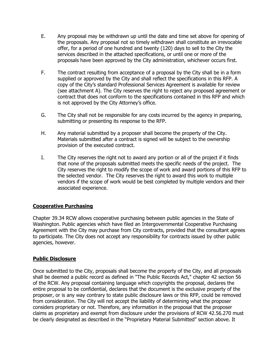- E. Any proposal may be withdrawn up until the date and time set above for opening of the proposals. Any proposal not so timely withdrawn shall constitute an irrevocable offer, for a period of one hundred and twenty (120) days to sell to the City the services described in the attached specifications, or until one or more of the proposals have been approved by the City administration, whichever occurs first.
- F. The contract resulting from acceptance of a proposal by the City shall be in a form supplied or approved by the City and shall reflect the specifications in this RFP. A copy of the City's standard Professional Services Agreement is available for review (see attachment A). The City reserves the right to reject any proposed agreement or contract that does not conform to the specifications contained in this RFP and which is not approved by the City Attorney's office.
- G. The City shall not be responsible for any costs incurred by the agency in preparing, submitting or presenting its response to the RFP.
- H. Any material submitted by a proposer shall become the property of the City. Materials submitted after a contract is signed will be subject to the ownership provision of the executed contract.
- I. The City reserves the right not to award any portion or all of the project if it finds that none of the proposals submitted meets the specific needs of the project. The City reserves the right to modify the scope of work and award portions of this RFP to the selected vendor. The City reserves the right to award this work to multiple vendors if the scope of work would be best completed by multiple vendors and their associated experience.

## **Cooperative Purchasing**

Chapter 39.34 RCW allows cooperative purchasing between public agencies in the State of Washington. Public agencies which have filed an Intergovernmental Cooperative Purchasing Agreement with the City may purchase from City contracts, provided that the consultant agrees to participate. The City does not accept any responsibility for contracts issued by other public agencies, however.

## **Public Disclosure**

Once submitted to the City, proposals shall become the property of the City, and all proposals shall be deemed a public record as defined in "The Public Records Act," chapter 42 section 56 of the RCW. Any proposal containing language which copyrights the proposal, declares the entire proposal to be confidential, declares that the document is the exclusive property of the proposer, or is any way contrary to state public disclosure laws or this RFP, could be removed from consideration. The City will not accept the liability of determining what the proposer considers proprietary or not. Therefore, any information in the proposal that the proposer claims as proprietary and exempt from disclosure under the provisions of RCW 42.56.270 must be clearly designated as described in the "Proprietary Material Submitted" section above. It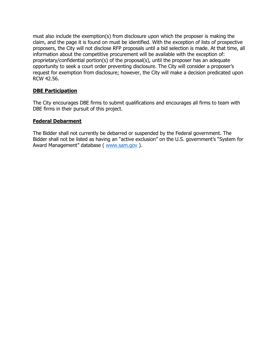must also include the exemption(s) from disclosure upon which the proposer is making the claim, and the page it is found on must be identified. With the exception of lists of prospective proposers, the City will not disclose RFP proposals until a bid selection is made. At that time, all information about the competitive procurement will be available with the exception of: proprietary/confidential portion(s) of the proposal(s), until the proposer has an adequate opportunity to seek a court order preventing disclosure. The City will consider a proposer's request for exemption from disclosure; however, the City will make a decision predicated upon RCW 42.56.

## **DBE Participation**

The City encourages DBE firms to submit qualifications and encourages all firms to team with DBE firms in their pursuit of this project.

#### **Federal Debarment**

The Bidder shall not currently be debarred or suspended by the Federal government. The Bidder shall not be listed as having an "active exclusion" on the U.S. government's "System for Award Management" database ( [www.sam.gov](http://www.sam.gov/) ).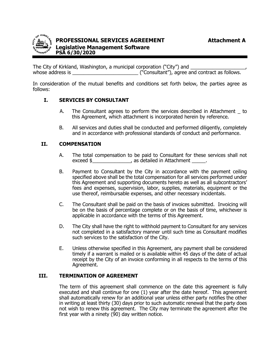

The City of Kirkland, Washington, a municipal corporation ("City") and whose address is  $($ "Consultant"), agree and contract as follows.

In consideration of the mutual benefits and conditions set forth below, the parties agree as follows:

### **I. SERVICES BY CONSULTANT**

- A. The Consultant agrees to perform the services described in Attachment \_ to this Agreement, which attachment is incorporated herein by reference.
- B. All services and duties shall be conducted and performed diligently, completely and in accordance with professional standards of conduct and performance.

#### **II. COMPENSATION**

- A. The total compensation to be paid to Consultant for these services shall not exceed  $\frac{1}{2}$  as detailed in Attachment \_\_\_\_\_.
- B. Payment to Consultant by the City in accordance with the payment ceiling specified above shall be the total compensation for all services performed under this Agreement and supporting documents hereto as well as all subcontractors' fees and expenses, supervision, labor, supplies, materials, equipment or the use thereof, reimbursable expenses, and other necessary incidentals.
- C. The Consultant shall be paid on the basis of invoices submitted. Invoicing will be on the basis of percentage complete or on the basis of time, whichever is applicable in accordance with the terms of this Agreement.
- D. The City shall have the right to withhold payment to Consultant for any services not completed in a satisfactory manner until such time as Consultant modifies such services to the satisfaction of the City.
- E. Unless otherwise specified in this Agreement, any payment shall be considered timely if a warrant is mailed or is available within 45 days of the date of actual receipt by the City of an invoice conforming in all respects to the terms of this Agreement.

#### **III. TERMINATION OF AGREEMENT**

The term of this agreement shall commence on the date this agreement is fully executed and shall continue for one (1) year after the date hereof. This agreement shall automatically renew for an additional year unless either party notifies the other in writing at least thirty (30) days prior to such automatic renewal that the party does not wish to renew this agreement. The City may terminate the agreement after the first year with a ninety  $(90)$  day written notice.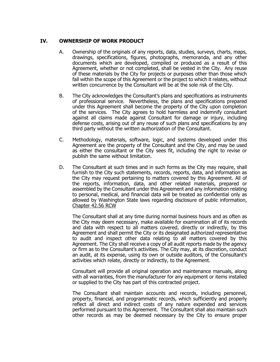#### **IV. OWNERSHIP OF WORK PRODUCT**

- A. Ownership of the originals of any reports, data, studies, surveys, charts, maps, drawings, specifications, figures, photographs, memoranda, and any other documents which are developed, compiled or produced as a result of this Agreement, whether or not completed, shall be vested in the City. Any reuse of these materials by the City for projects or purposes other than those which fall within the scope of this Agreement or the project to which it relates, without written concurrence by the Consultant will be at the sole risk of the City.
- B. The City acknowledges the Consultant's plans and specifications as instruments of professional service. Nevertheless, the plans and specifications prepared under this Agreement shall become the property of the City upon completion of the services. The City agrees to hold harmless and indemnify consultant against all claims made against Consultant for damage or injury, including defense costs, arising out of any reuse of such plans and specifications by any third party without the written authorization of the Consultant.
- C. Methodology, materials, software, logic, and systems developed under this Agreement are the property of the Consultant and the City, and may be used as either the consultant or the City sees fit, including the right to revise or publish the same without limitation.
- D. The Consultant at such times and in such forms as the City may require, shall furnish to the City such statements, records, reports, data, and information as the City may request pertaining to matters covered by this Agreement. All of the reports, information, data, and other related materials, prepared or assembled by the Consultant under this Agreement and any information relating to personal, medical, and financial data will be treated as confidential only as allowed by Washington State laws regarding disclosure of public information, Chapter 42.56 RCW

The Consultant shall at any time during normal business hours and as often as the City may deem necessary, make available for examination all of its records and data with respect to all matters covered, directly or indirectly, by this Agreement and shall permit the City or its designated authorized representative to audit and inspect other data relating to all matters covered by this Agreement. The City shall receive a copy of all audit reports made by the agency or firm as to the Consultant's activities. The City may, at its discretion, conduct an audit, at its expense, using its own or outside auditors, of the Consultant's activities which relate, directly or indirectly, to the Agreement.

Consultant will provide all original operation and maintenance manuals, along with all warranties, from the manufacturer for any equipment or items installed or supplied to the City has part of this contracted project.

The Consultant shall maintain accounts and records, including personnel, property, financial, and programmatic records, which sufficiently and properly reflect all direct and indirect costs of any nature expended and services performed pursuant to this Agreement. The Consultant shall also maintain such other records as may be deemed necessary by the City to ensure proper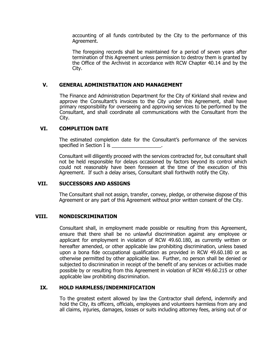accounting of all funds contributed by the City to the performance of this Agreement.

The foregoing records shall be maintained for a period of seven years after termination of this Agreement unless permission to destroy them is granted by the Office of the Archivist in accordance with RCW Chapter 40.14 and by the City.

#### **V. GENERAL ADMINISTRATION AND MANAGEMENT**

The Finance and Administration Department for the City of Kirkland shall review and approve the Consultant's invoices to the City under this Agreement, shall have primary responsibility for overseeing and approving services to be performed by the Consultant, and shall coordinate all communications with the Consultant from the City.

### **VI. COMPLETION DATE**

The estimated completion date for the Consultant's performance of the services specified in Section I is \_\_\_\_\_\_\_\_\_\_\_\_\_\_\_\_\_\_.

Consultant will diligently proceed with the services contracted for, but consultant shall not be held responsible for delays occasioned by factors beyond its control which could not reasonably have been foreseen at the time of the execution of this Agreement. If such a delay arises, Consultant shall forthwith notify the City.

#### **VII. SUCCESSORS AND ASSIGNS**

The Consultant shall not assign, transfer, convey, pledge, or otherwise dispose of this Agreement or any part of this Agreement without prior written consent of the City.

#### **VIII. NONDISCRIMINATION**

Consultant shall, in employment made possible or resulting from this Agreement, ensure that there shall be no unlawful discrimination against any employee or applicant for employment in violation of RCW 49.60.180, as currently written or hereafter amended, or other applicable law prohibiting discrimination, unless based upon a bona fide occupational qualification as provided in RCW 49.60.180 or as otherwise permitted by other applicable law. Further, no person shall be denied or subjected to discrimination in receipt of the benefit of any services or activities made possible by or resulting from this Agreement in violation of RCW 49.60.215 or other applicable law prohibiting discrimination.

#### **IX. HOLD HARMLESS/INDEMNIFICATION**

To the greatest extent allowed by law the Contractor shall defend, indemnify and hold the City, its officers, officials, employees and volunteers harmless from any and all claims, injuries, damages, losses or suits including attorney fees, arising out of or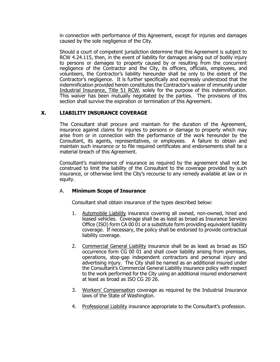in connection with performance of this Agreement, except for injuries and damages caused by the sole negligence of the City.

Should a court of competent jurisdiction determine that this Agreement is subject to RCW 4.24.115, then, in the event of liability for damages arising out of bodily injury to persons or damages to property caused by or resulting from the concurrent negligence of the Contractor and the City, its officers, officials, employees, and volunteers, the Contractor's liability hereunder shall be only to the extent of the Contractor's negligence. It is further specifically and expressly understood that the indemnification provided herein constitutes the Contractor's waiver of immunity under Industrial Insurance, Title 51 RCW, solely for the purpose of this indemnification. This waiver has been mutually negotiated by the parties. The provisions of this section shall survive the expiration or termination of this Agreement.

## **X. LIABILITY INSURANCE COVERAGE**

The Consultant shall procure and maintain for the duration of the Agreement, insurance against claims for injuries to persons or damage to property which may arise from or in connection with the performance of the work hereunder by the Consultant, its agents, representatives, or employees. A failure to obtain and maintain such insurance or to file required certificates and endorsements shall be a material breach of this Agreement.

Consultant's maintenance of insurance as required by the agreement shall not be construed to limit the liability of the Consultant to the coverage provided by such insurance, or otherwise limit the City's recourse to any remedy available at law or in equity.

#### A. **Minimum Scope of Insurance**

Consultant shall obtain insurance of the types described below:

- 1. Automobile Liability insurance covering all owned, non-owned, hired and leased vehicles. Coverage shall be as least as broad as Insurance Services Office (ISO) form CA 00 01 or a substitute form providing equivalent liability coverage. If necessary, the policy shall be endorsed to provide contractual liability coverage.
- 2. Commercial General Liability insurance shall be as least as broad as ISO occurrence form CG 00 01 and shall cover liability arising from premises, operations, stop-gap independent contractors and personal injury and advertising injury. The City shall be named as an additional insured under the Consultant's Commercial General Liability insurance policy with respect to the work performed for the City using an additional insured endorsement at least as broad as ISO CG 20 26.
- 3. Workers' Compensation coverage as required by the Industrial Insurance laws of the State of Washington.
- 4. Professional Liability insurance appropriate to the Consultant's profession.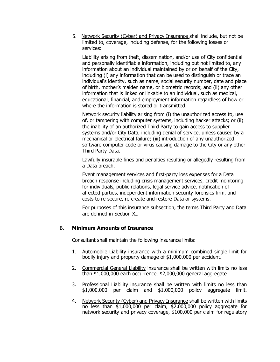5. Network Security (Cyber) and Privacy Insurance shall include, but not be limited to, coverage, including defense, for the following losses or services:

Liability arising from theft, dissemination, and/or use of City confidential and personally identifiable information, including but not limited to, any information about an individual maintained by or on behalf of the City, including (i) any information that can be used to distinguish or trace an individual's identity, such as name, social security number, date and place of birth, mother's maiden name, or biometric records; and (ii) any other information that is linked or linkable to an individual, such as medical, educational, financial, and employment information regardless of how or where the information is stored or transmitted.

Network security liability arising from (i) the unauthorized access to, use of, or tampering with computer systems, including hacker attacks; or (ii) the inability of an authorized Third Party to gain access to supplier systems and/or City Data, including denial of service, unless caused by a mechanical or electrical failure; (iii) introduction of any unauthorized software computer code or virus causing damage to the City or any other Third Party Data.

Lawfully insurable fines and penalties resulting or allegedly resulting from a Data breach.

Event management services and first-party loss expenses for a Data breach response including crisis management services, credit monitoring for individuals, public relations, legal service advice, notification of affected parties, independent information security forensics firm, and costs to re-secure, re-create and restore Data or systems.

For purposes of this insurance subsection, the terms Third Party and Data are defined in Section XI.

## B. **Minimum Amounts of Insurance**

Consultant shall maintain the following insurance limits:

- 1. Automobile Liability insurance with a minimum combined single limit for bodily injury and property damage of \$1,000,000 per accident.
- 2. Commercial General Liability insurance shall be written with limits no less than \$1,000,000 each occurrence, \$2,000,000 general aggregate.
- 3. Professional Liability insurance shall be written with limits no less than \$1,000,000 per claim and \$1,000,000 policy aggregate limit.
- 4. Network Security (Cyber) and Privacy Insurance shall be written with limits no less than \$1,000,000 per claim, \$2,000,000 policy aggregate for network security and privacy coverage, \$100,000 per claim for regulatory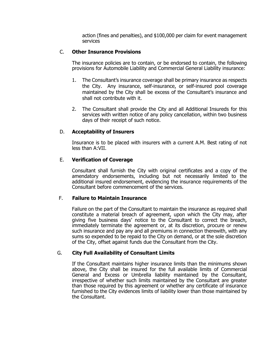action (fines and penalties), and \$100,000 per claim for event management services

#### C. **Other Insurance Provisions**

The insurance policies are to contain, or be endorsed to contain, the following provisions for Automobile Liability and Commercial General Liability insurance:

- 1. The Consultant's insurance coverage shall be primary insurance as respects the City. Any insurance, self-insurance, or self-insured pool coverage maintained by the City shall be excess of the Consultant's insurance and shall not contribute with it.
- 2. The Consultant shall provide the City and all Additional Insureds for this services with written notice of any policy cancellation, within two business days of their receipt of such notice.

#### D. **Acceptability of Insurers**

Insurance is to be placed with insurers with a current A.M. Best rating of not less than A:VII.

#### E. **Verification of Coverage**

Consultant shall furnish the City with original certificates and a copy of the amendatory endorsements, including but not necessarily limited to the additional insured endorsement, evidencing the insurance requirements of the Consultant before commencement of the services.

#### F. **Failure to Maintain Insurance**

Failure on the part of the Consultant to maintain the insurance as required shall constitute a material breach of agreement, upon which the City may, after giving five business days' notice to the Consultant to correct the breach, immediately terminate the agreement or, at its discretion, procure or renew such insurance and pay any and all premiums in connection therewith, with any sums so expended to be repaid to the City on demand, or at the sole discretion of the City, offset against funds due the Consultant from the City.

#### G. **City Full Availability of Consultant Limits**

If the Consultant maintains higher insurance limits than the minimums shown above, the City shall be insured for the full available limits of Commercial General and Excess or Umbrella liability maintained by the Consultant, irrespective of whether such limits maintained by the Consultant are greater than those required by this agreement or whether any certificate of insurance furnished to the City evidences limits of liability lower than those maintained by the Consultant.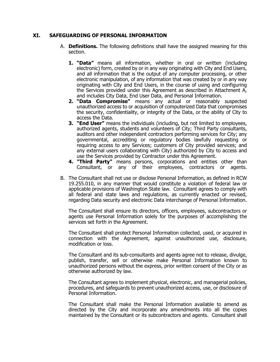#### **XI. SAFEGUARDING OF PERSONAL INFORMATION**

- A. **Definitions.** The following definitions shall have the assigned meaning for this section.
	- **1. "Data"** means all information, whether in oral or written (including electronic) form, created by or in any way originating with City and End Users, and all information that is the output of any computer processing, or other electronic manipulation, of any information that was created by or in any way originating with City and End Users, in the course of using and configuring the Services provided under this Agreement as described in Attachment A, and includes City Data, End User Data, and Personal Information.
	- **2. "Data Compromise"** means any actual or reasonably suspected unauthorized access to or acquisition of computerized Data that compromises the security, confidentiality, or integrity of the Data, or the ability of City to access the Data.
	- **3. "End User"** means the individuals (including, but not limited to employees, authorized agents, students and volunteers of City; Third Party consultants, auditors and other independent contractors performing services for City; any governmental, accrediting or regulatory bodies lawfully requesting or requiring access to any Services; customers of City provided services; and any external users collaborating with City) authorized by City to access and use the Services provided by Contractor under this Agreement.
	- **4. "Third Party"** means persons, corporations and entities other than Consultant, or any of their employees, contractors or agents.
- B. The Consultant shall not use or disclose Personal Information, as defined in RCW 19.255.010, in any manner that would constitute a violation of federal law or applicable provisions of Washington State law. Consultant agrees to comply with all federal and state laws and regulations, as currently enacted or revised, regarding Data security and electronic Data interchange of Personal Information.

The Consultant shall ensure its directors, officers, employees, subcontractors or agents use Personal Information solely for the purposes of accomplishing the services set forth in the Agreement.

The Consultant shall protect Personal Information collected, used, or acquired in connection with the Agreement, against unauthorized use, disclosure, modification or loss.

The Consultant and its sub-consultants and agents agree not to release, divulge, publish, transfer, sell or otherwise make Personal Information known to unauthorized persons without the express, prior written consent of the City or as otherwise authorized by law.

The Consultant agrees to implement physical, electronic, and managerial policies, procedures, and safeguards to prevent unauthorized access, use, or disclosure of Personal Information.

The Consultant shall make the Personal Information available to amend as directed by the City and incorporate any amendments into all the copies maintained by the Consultant or its subcontractors and agents. Consultant shall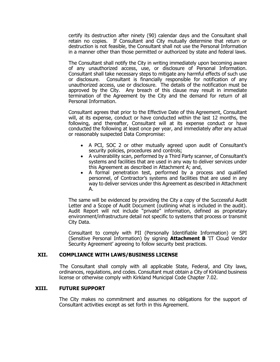certify its destruction after ninety (90) calendar days and the Consultant shall retain no copies. If Consultant and City mutually determine that return or destruction is not feasible, the Consultant shall not use the Personal Information in a manner other than those permitted or authorized by state and federal laws.

The Consultant shall notify the City in writing immediately upon becoming aware of any unauthorized access, use, or disclosure of Personal Information. Consultant shall take necessary steps to mitigate any harmful effects of such use or disclosure. Consultant is financially responsible for notification of any unauthorized access, use or disclosure. The details of the notification must be approved by the City. Any breach of this clause may result in immediate termination of the Agreement by the City and the demand for return of all Personal Information.

Consultant agrees that prior to the Effective Date of this Agreement, Consultant will, at its expense, conduct or have conducted within the last 12 months, the following, and thereafter, Consultant will at its expense conduct or have conducted the following at least once per year, and immediately after any actual or reasonably suspected Data Compromise:

- A PCI, SOC 2 or other mutually agreed upon audit of Consultant's security policies, procedures and controls;
- A vulnerability scan, performed by a Third Party scanner, of Consultant's systems and facilities that are used in any way to deliver services under this Agreement as described in Attachment A; and,
- A formal penetration test, performed by a process and qualified personnel, of Contractor's systems and facilities that are used in any way to deliver services under this Agreement as described in Attachment A.

The same will be evidenced by providing the City a copy of the Successful Audit Letter and a Scope of Audit Document (outlining what is included in the audit). Audit Report will not include "private" information, defined as proprietary environment/infrastructure detail not specific to systems that process or transmit City Data.

Consultant to comply with PII (Personally Identifiable Information) or SPI (Sensitive Personal Information) by signing **Attachment B** 'IT Cloud Vendor Security Agreement' agreeing to follow security best practices.

#### **XII. COMPLIANCE WITH LAWS/BUSINESS LICENSE**

The Consultant shall comply with all applicable State, Federal, and City laws, ordinances, regulations, and codes. Consultant must obtain a City of Kirkland business license or otherwise comply with Kirkland Municipal Code Chapter 7.02.

#### **XIII. FUTURE SUPPORT**

The City makes no commitment and assumes no obligations for the support of Consultant activities except as set forth in this Agreement.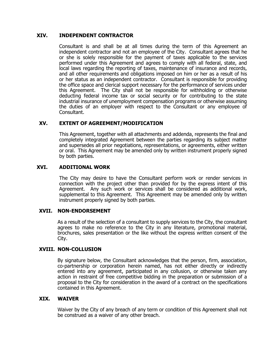#### **XIV. INDEPENDENT CONTRACTOR**

Consultant is and shall be at all times during the term of this Agreement an independent contractor and not an employee of the City. Consultant agrees that he or she is solely responsible for the payment of taxes applicable to the services performed under this Agreement and agrees to comply with all federal, state, and local laws regarding the reporting of taxes, maintenance of insurance and records, and all other requirements and obligations imposed on him or her as a result of his or her status as an independent contractor. Consultant is responsible for providing the office space and clerical support necessary for the performance of services under this Agreement. The City shall not be responsible for withholding or otherwise deducting federal income tax or social security or for contributing to the state industrial insurance of unemployment compensation programs or otherwise assuming the duties of an employer with respect to the Consultant or any employee of Consultant.

#### **XV. EXTENT OF AGREEMENT/MODIFICATION**

This Agreement, together with all attachments and addenda, represents the final and completely integrated Agreement between the parties regarding its subject matter and supersedes all prior negotiations, representations, or agreements, either written or oral. This Agreement may be amended only by written instrument properly signed by both parties.

#### **XVI. ADDITIONAL WORK**

The City may desire to have the Consultant perform work or render services in connection with the project other than provided for by the express intent of this Agreement. Any such work or services shall be considered as additional work, supplemental to this Agreement. This Agreement may be amended only by written instrument properly signed by both parties.

#### **XVII. NON-ENDORSEMENT**

As a result of the selection of a consultant to supply services to the City, the consultant agrees to make no reference to the City in any literature, promotional material, brochures, sales presentation or the like without the express written consent of the City.

#### **XVIII. NON-COLLUSION**

By signature below, the Consultant acknowledges that the person, firm, association, co-partnership or corporation herein named, has not either directly or indirectly entered into any agreement, participated in any collusion, or otherwise taken any action in restraint of free competitive bidding in the preparation or submission of a proposal to the City for consideration in the award of a contract on the specifications contained in this Agreement.

#### **XIX. WAIVER**

Waiver by the City of any breach of any term or condition of this Agreement shall not be construed as a waiver of any other breach.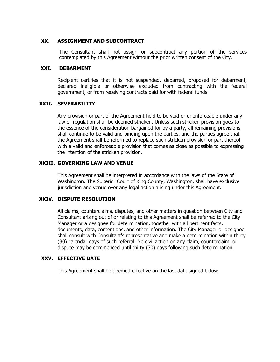#### **XX. ASSIGNMENT AND SUBCONTRACT**

The Consultant shall not assign or subcontract any portion of the services contemplated by this Agreement without the prior written consent of the City.

#### **XXI. DEBARMENT**

Recipient certifies that it is not suspended, debarred, proposed for debarment, declared ineligible or otherwise excluded from contracting with the federal government, or from receiving contracts paid for with federal funds.

#### **XXII. SEVERABILITY**

Any provision or part of the Agreement held to be void or unenforceable under any law or regulation shall be deemed stricken. Unless such stricken provision goes to the essence of the consideration bargained for by a party, all remaining provisions shall continue to be valid and binding upon the parties, and the parties agree that the Agreement shall be reformed to replace such stricken provision or part thereof with a valid and enforceable provision that comes as close as possible to expressing the intention of the stricken provision.

#### **XXIII. GOVERNING LAW AND VENUE**

This Agreement shall be interpreted in accordance with the laws of the State of Washington. The Superior Court of King County, Washington, shall have exclusive jurisdiction and venue over any legal action arising under this Agreement.

#### **XXIV. DISPUTE RESOLUTION**

All claims, counterclaims, disputes, and other matters in question between City and Consultant arising out of or relating to this Agreement shall be referred to the City Manager or a designee for determination, together with all pertinent facts, documents, data, contentions, and other information. The City Manager or designee shall consult with Consultant's representative and make a determination within thirty (30) calendar days of such referral. No civil action on any claim, counterclaim, or dispute may be commenced until thirty (30) days following such determination.

#### **XXV. EFFECTIVE DATE**

This Agreement shall be deemed effective on the last date signed below.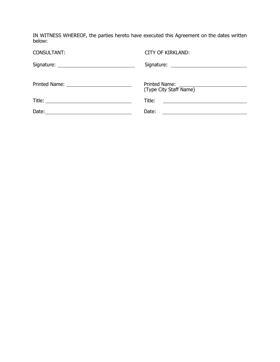IN WITNESS WHEREOF, the parties hereto have executed this Agreement on the dates written below:

| <b>CONSULTANT:</b> | <b>CITY OF KIRKLAND:</b>                                            |
|--------------------|---------------------------------------------------------------------|
|                    |                                                                     |
|                    | (Type City Staff Name)                                              |
|                    | Title:<br><u> 1989 - Andrea Andrew Maria (h. 1989).</u>             |
|                    | Date:<br><u> 1989 - Johann John Stein, fransk politik (f. 1989)</u> |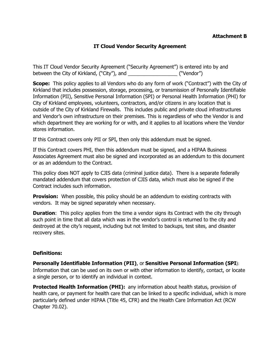#### **Attachment B**

## **IT Cloud Vendor Security Agreement**

This IT Cloud Vendor Security Agreement ("Security Agreement") is entered into by and between the City of Kirkland, ("City"), and  $($ ["Vendor")

**Scope:** This policy applies to all Vendors who do any form of work ("Contract") with the City of Kirkland that includes possession, storage, processing, or transmission of Personally Identifiable Information (PII), Sensitive Personal Information (SPI) or Personal Health Information (PHI) for City of Kirkland employees, volunteers, contractors, and/or citizens in any location that is outside of the City of Kirkland Firewalls. This includes public and private cloud infrastructures and Vendor's own infrastructure on their premises. This is regardless of who the Vendor is and which department they are working for or with, and it applies to all locations where the Vendor stores information.

If this Contract covers only PII or SPI, then only this addendum must be signed.

If this Contract covers PHI, then this addendum must be signed, and a HIPAA Business Associates Agreement must also be signed and incorporated as an addendum to this document or as an addendum to the Contract.

This policy does NOT apply to CJIS data (criminal justice data). There is a separate federally mandated addendum that covers protection of CJIS data, which must also be signed if the Contract includes such information.

**Provision:** When possible, this policy should be an addendum to existing contracts with vendors. It may be signed separately when necessary.

**Duration:** This policy applies from the time a vendor signs its Contract with the city through such point in time that all data which was in the vendor's control is returned to the city and destroyed at the city's request, including but not limited to backups, test sites, and disaster recovery sites.

#### **Definitions:**

**Personally Identifiable Information (PII)**, or **Sensitive Personal Information (SPI**): Information that can be used on its own or with other information to identify, contact, or locate a single person, or to identify an individual in context.

**Protected Health Information (PHI):** any information about health status, provision of health care, or payment for health care that can be linked to a specific individual, which is more particularly defined under HIPAA (Title 45, CFR) and the Health Care Information Act (RCW Chapter 70.02).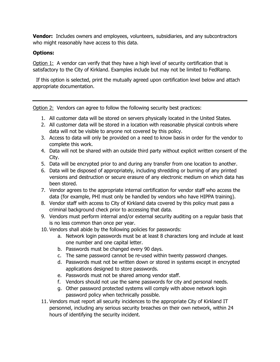**Vendor:** Includes owners and employees, volunteers, subsidiaries, and any subcontractors who might reasonably have access to this data.

## **Options:**

Option 1: A vendor can verify that they have a high level of security certification that is satisfactory to the City of Kirkland. Examples include but may not be limited to FedRamp.

 If this option is selected, print the mutually agreed upon certification level below and attach appropriate documentation.

Option 2: Vendors can agree to follow the following security best practices:

- 1. All customer data will be stored on servers physically located in the United States.
- 2. All customer data will be stored in a location with reasonable physical controls where data will not be visible to anyone not covered by this policy.
- 3. Access to data will only be provided on a need to know basis in order for the vendor to complete this work.
- 4. Data will not be shared with an outside third party without explicit written consent of the City.
- 5. Data will be encrypted prior to and during any transfer from one location to another.
- 6. Data will be disposed of appropriately, including shredding or burning of any printed versions and destruction or secure erasure of any electronic medium on which data has been stored.
- 7. Vendor agrees to the appropriate internal certification for vendor staff who access the data (for example, PHI must only be handled by vendors who have HIPPA training).
- 8. Vendor staff with access to City of Kirkland data covered by this policy must pass a criminal background check prior to accessing that data.
- 9. Vendors must perform internal and/or external security auditing on a regular basis that is no less common than once per year.
- 10. Vendors shall abide by the following policies for passwords:
	- a. Network login passwords must be at least 8 characters long and include at least one number and one capital letter.
	- b. Passwords must be changed every 90 days.
	- c. The same password cannot be re-used within twenty password changes.
	- d. Passwords must not be written down or stored in systems except in encrypted applications designed to store passwords.
	- e. Passwords must not be shared among vendor staff.
	- f. Vendors should not use the same passwords for city and personal needs.
	- g. Other password protected systems will comply with above network login password policy when technically possible.
- 11. Vendors must report all security incidences to the appropriate City of Kirkland IT personnel, including any serious security breaches on their own network, within 24 hours of identifying the security incident.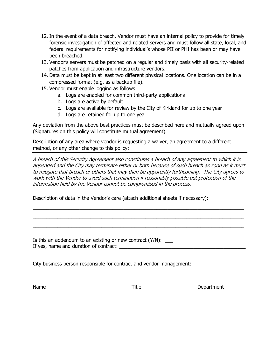- 12. In the event of a data breach, Vendor must have an internal policy to provide for timely forensic investigation of affected and related servers and must follow all state, local, and federal requirements for notifying individual's whose PII or PHI has been or may have been breached.
- 13. Vendor's servers must be patched on a regular and timely basis with all security-related patches from application and infrastructure vendors.
- 14. Data must be kept in at least two different physical locations. One location can be in a compressed format (e.g. as a backup file).
- 15. Vendor must enable logging as follows:
	- a. Logs are enabled for common third-party applications
	- b. Logs are active by default
	- c. Logs are available for review by the City of Kirkland for up to one year
	- d. Logs are retained for up to one year

Any deviation from the above best practices must be described here and mutually agreed upon (Signatures on this policy will constitute mutual agreement).

Description of any area where vendor is requesting a waiver, an agreement to a different method, or any other change to this policy:

A breach of this Security Agreement also constitutes a breach of any agreement to which it is appended and the City may terminate either or both because of such breach as soon as it must to mitigate that breach or others that may then be apparently forthcoming. The City agrees to work with the Vendor to avoid such termination if reasonably possible but protection of the information held by the Vendor cannot be compromised in the process.

 $\_$  $\_$  $\_$ 

Description of data in the Vendor's care (attach additional sheets if necessary):

Is this an addendum to an existing or new contract  $(Y/N)$ : If yes, name and duration of contract: \_\_\_\_\_\_\_\_\_\_\_\_\_\_\_\_\_\_\_\_\_\_\_\_\_\_\_\_\_\_\_\_\_\_\_\_\_\_\_\_\_\_\_\_\_\_

City business person responsible for contract and vendor management:

Name **Name Name Name Name Name Name Name Oepartment**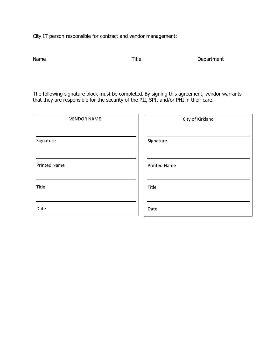City IT person responsible for contract and vendor management:

Title Department

The following signature block must be completed. By signing this agreement, vendor warrants that they are responsible for the security of the PII, SPI, and/or PHI in their care.

| <b>VENDOR NAME.</b> | City of Kirkland    |
|---------------------|---------------------|
| Signature           | Signature           |
| <b>Printed Name</b> | <b>Printed Name</b> |
| Title               | Title               |
| Date                | Date                |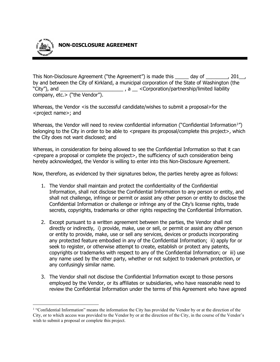

This Non-Disclosure Agreement ("the Agreement") is made this \_\_\_\_\_ day of \_\_\_\_\_\_\_, 201<sub>\_\_,</sub> by and between the City of Kirkland, a municipal corporation of the State of Washington (the "City"), and \_\_\_\_\_\_\_\_\_\_\_\_\_\_\_\_\_\_\_\_\_\_\_ , a \_\_ <Corporation/partnership/limited liability company, etc.> ("the Vendor").

Whereas, the Vendor  $\leq$  is the successful candidate/wishes to submit a proposal>for the <project name>; and

Whereas, the Vendor will need to review confidential information ("Confidential Information<sup>[1](#page-25-0)</sup>") belonging to the City in order to be able to <prepare its proposal/complete this project>, which the City does not want disclosed; and

Whereas, in consideration for being allowed to see the Confidential Information so that it can <prepare a proposal or complete the project>, the sufficiency of such consideration being hereby acknowledged, the Vendor is willing to enter into this Non-Disclosure Agreement.

Now, therefore, as evidenced by their signatures below, the parties hereby agree as follows:

- 1. The Vendor shall maintain and protect the confidentiality of the Confidential Information, shall not disclose the Confidential Information to any person or entity, and shall not challenge, infringe or permit or assist any other person or entity to disclose the Confidential Information or challenge or infringe any of the City's license rights, trade secrets, copyrights, trademarks or other rights respecting the Confidential Information.
- 2. Except pursuant to a written agreement between the parties, the Vendor shall not directly or indirectly, i) provide, make, use or sell, or permit or assist any other person or entity to provide, make, use or sell any services, devices or products incorporating any protected feature embodied in any of the Confidential Information; ii) apply for or seek to register, or otherwise attempt to create, establish or protect any patents, copyrights or trademarks with respect to any of the Confidential Information; or iii) use any name used by the other party, whether or not subject to trademark protection, or any confusingly similar name.
- 3. The Vendor shall not disclose the Confidential Information except to those persons employed by the Vendor, or its affiliates or subsidiaries, who have reasonable need to review the Confidential Information under the terms of this Agreement who have agreed

<span id="page-25-0"></span><sup>&</sup>lt;sup>1</sup> "Confidential Information" means the information the City has provided the Vendor by or at the direction of the City, or to which access was provided to the Vendor by or at the direction of the City, in the course of the Vendor's wish to submit a proposal or complete this project.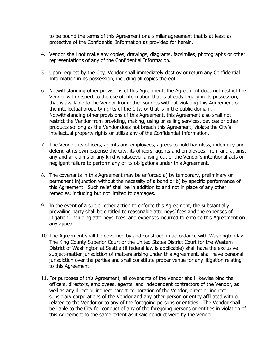to be bound the terms of this Agreement or a similar agreement that is at least as protective of the Confidential Information as provided for herein.

- 4. Vendor shall not make any copies, drawings, diagrams, facsimiles, photographs or other representations of any of the Confidential Information.
- 5. Upon request by the City, Vendor shall immediately destroy or return any Confidential Information in its possession, including all copies thereof.
- 6. Notwithstanding other provisions of this Agreement, the Agreement does not restrict the Vendor with respect to the use of information that is already legally in its possession, that is available to the Vendor from other sources without violating this Agreement or the intellectual property rights of the City, or that is in the public domain. Notwithstanding other provisions of this Agreement, this Agreement also shall not restrict the Vendor from providing, making, using or selling services, devices or other products so long as the Vendor does not breach this Agreement, violate the City's intellectual property rights or utilize any of the Confidential Information.
- 7. The Vendor, its officers, agents and employees, agrees to hold harmless, indemnify and defend at its own expense the City, its officers, agents and employees, from and against any and all claims of any kind whatsoever arising out of the Vendor's intentional acts or negligent failure to perform any of its obligations under this Agreement.
- 8. The covenants in this Agreement may be enforced a) by temporary, preliminary or permanent injunction without the necessity of a bond or b) by specific performance of this Agreement. Such relief shall be in addition to and not in place of any other remedies, including but not limited to damages.
- 9. In the event of a suit or other action to enforce this Agreement, the substantially prevailing party shall be entitled to reasonable attorneys' fees and the expenses of litigation, including attorneys' fees, and expenses incurred to enforce this Agreement on any appeal.
- 10. The Agreement shall be governed by and construed in accordance with Washington law. The King County Superior Court or the United States District Court for the Western District of Washington at Seattle (if federal law is applicable) shall have the exclusive subject-matter jurisdiction of matters arising under this Agreement, shall have personal jurisdiction over the parties and shall constitute proper venue for any litigation relating to this Agreement.
- 11. For purposes of this Agreement, all covenants of the Vendor shall likewise bind the officers, directors, employees, agents, and independent contractors of the Vendor, as well as any direct or indirect parent corporation of the Vendor, direct or indirect subsidiary corporations of the Vendor and any other person or entity affiliated with or related to the Vendor or to any of the foregoing persons or entities. The Vendor shall be liable to the City for conduct of any of the foregoing persons or entities in violation of this Agreement to the same extent as if said conduct were by the Vendor.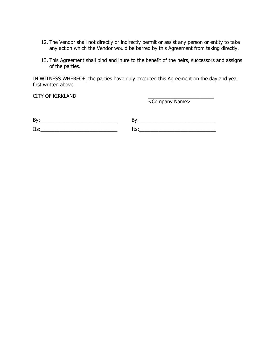- 12. The Vendor shall not directly or indirectly permit or assist any person or entity to take any action which the Vendor would be barred by this Agreement from taking directly.
- 13. This Agreement shall bind and inure to the benefit of the heirs, successors and assigns of the parties.

IN WITNESS WHEREOF, the parties have duly executed this Agreement on the day and year first written above.

CITY OF KIRKLAND

<Company Name>

| By:               |    |
|-------------------|----|
| $TL_{\text{max}}$ |    |
| <b>ILS</b>        | -- |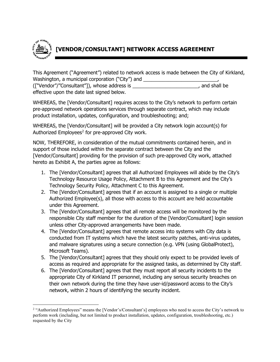

This Agreement ("Agreement") related to network access is made between the City of Kirkland, Washington, a municipal corporation ("City") and \_\_\_\_\_\_\_\_\_\_\_\_\_\_\_\_\_\_\_\_\_\_\_\_\_\_\_\_\_\_\_ (["Vendor"/"Consultant"]), whose address is \_\_\_\_\_\_\_\_\_\_\_\_\_\_\_\_\_\_\_\_\_\_\_\_, and shall be

effective upon the date last signed below.

WHEREAS, the [Vendor/Consultant] requires access to the City's network to perform certain pre-approved network operations services through separate contract, which may include product installation, updates, configuration, and troubleshooting; and;

WHEREAS, the [Vendor/Consultant] will be provided a City network login account(s) for Authorized Employees<sup>[2](#page-28-0)</sup> for pre-approved City work.

NOW, THEREFORE, in consideration of the mutual commitments contained herein, and in support of those included within the separate contract between the City and the [Vendor/Consultant] providing for the provision of such pre-approved City work, attached hereto as Exhibit A, the parties agree as follows:

- 1. The [Vendor/Consultant] agrees that all Authorized Employees will abide by the City's Technology Resource Usage Policy, Attachment B to this Agreement and the City's Technology Security Policy, Attachment C to this Agreement.
- 2. The [Vendor/Consultant] agrees that if an account is assigned to a single or multiple Authorized Employee(s), all those with access to this account are held accountable under this Agreement.
- 3. The [Vendor/Consultant] agrees that all remote access will be monitored by the responsible City staff member for the duration of the [Vendor/Consultant] login session unless other City-approved arrangements have been made.
- 4. The [Vendor/Consultant] agrees that remote access into systems with City data is conducted from IT systems which have the latest security patches, anti-virus updates, and malware signatures using a secure connection (e.g. VPN (using GlobalProtect), Microsoft Teams).
- 5. The [Vendor/Consultant] agrees that they should only expect to be provided levels of access as required and appropriate for the assigned tasks, as determined by City staff.
- 6. The [Vendor/Consultant] agrees that they must report all security incidents to the appropriate City of Kirkland IT personnel, including any serious security breaches on their own network during the time they have user-id/password access to the City's network, within 2 hours of identifying the security incident.

<span id="page-28-0"></span><sup>2</sup> "Authorized Employees" means the [Vendor's/Consultant's] employees who need to access the City's network to perform work (including, but not limited to product installation, updates, configuration, troubleshooting, etc.) requested by the City